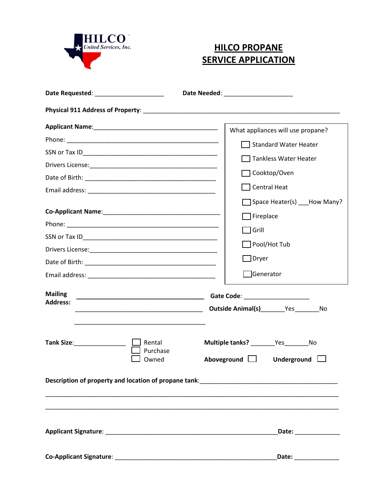

## **HILCO PROPANE SERVICE APPLICATION**

| Date Requested: ______________________ | Date Needed: _______________________                                                                                 |
|----------------------------------------|----------------------------------------------------------------------------------------------------------------------|
|                                        |                                                                                                                      |
|                                        | What appliances will use propane?                                                                                    |
|                                        | Standard Water Heater                                                                                                |
|                                        | Tankless Water Heater                                                                                                |
|                                        | Cooktop/Oven                                                                                                         |
|                                        |                                                                                                                      |
|                                        | Central Heat                                                                                                         |
|                                        | Space Heater(s) How Many?                                                                                            |
|                                        | Fireplace                                                                                                            |
|                                        | ] Grill                                                                                                              |
|                                        | Pool/Hot Tub [                                                                                                       |
|                                        | ]Dryer                                                                                                               |
|                                        | Generator <sup>-</sup>                                                                                               |
|                                        |                                                                                                                      |
| <b>Mailing</b>                         | Gate Code: _______________________                                                                                   |
| <b>Address:</b>                        | Outside Animal(s)__________Yes___________No                                                                          |
| Rental<br>Purchase<br>Owned            | Multiple tanks? Ves No<br>Aboveground $\Box$<br>Underground $\Box$                                                   |
|                                        | Description of property and location of propane tank: Description of propane tank                                    |
|                                        |                                                                                                                      |
|                                        | Date: <u>Date: Date: Date: Date: Date: Date: Date: Date: Date: Date: Date: Date: Date: Date: Date: Date: Date: D</u> |
|                                        | Date:                                                                                                                |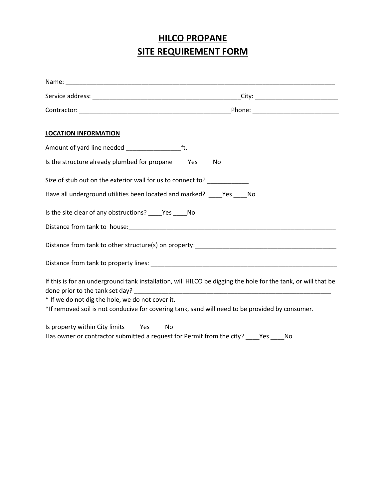## **HILCO PROPANE SITE REQUIREMENT FORM**

| <b>LOCATION INFORMATION</b>                                                                                                                                       |
|-------------------------------------------------------------------------------------------------------------------------------------------------------------------|
|                                                                                                                                                                   |
| Is the structure already plumbed for propane ______ Yes ______ No                                                                                                 |
| Size of stub out on the exterior wall for us to connect to? ____________                                                                                          |
| Have all underground utilities been located and marked? _____ Yes _____ No                                                                                        |
| Is the site clear of any obstructions? ______ Yes ______ No                                                                                                       |
|                                                                                                                                                                   |
|                                                                                                                                                                   |
|                                                                                                                                                                   |
| If this is for an underground tank installation, will HILCO be digging the hole for the tank, or will that be<br>* If we do not dig the hole, we do not cover it. |
| *If removed soil is not conducive for covering tank, sand will need to be provided by consumer.                                                                   |
| Is property within City limits ______ Yes ______ No<br>Has owner or contractor submitted a request for Permit from the city? _____ Yes _____ No                   |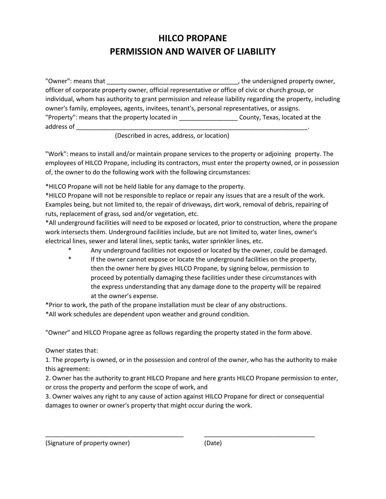## **HILCO PROPANE PERMISSION AND WAIVER OF LIABILITY**

"Owner": means that the same state of the state of the state of the undersigned property owner, officer of corporate property owner, official representative or office of civic or church group, or individual, whom has authority to grant permission and release liability regarding the property, including owner's family, employees, agents, invitees, tenant's, personal representatives, or assigns. "Property": means that the property located in \_\_\_\_\_\_\_\_\_\_\_\_\_\_\_\_\_ County, Texas, located at the address of \_\_\_\_\_\_\_\_\_\_\_\_\_\_\_\_\_\_\_\_\_\_\_\_\_\_\_\_\_\_\_\_\_\_\_\_\_\_\_\_\_\_\_\_\_\_\_\_\_\_\_\_\_\_\_\_\_\_\_\_\_\_\_\_\_\_\_.

(Described in acres, address, or location)

"Work": means to install and/or maintain propane services to the property or adjoining property. The employees of HILCO Propane, including its contractors, must enter the property owned, or in possession of, the owner to do the following work with the following circumstances:

\*HILCO Propane will not be held liable for any damage to the property.

\*HILCO Propane will not be responsible to replace or repair any issues that are a result of the work. Examples being, but not limited to, the repair of driveways, dirt work, removal of debris, repairing of ruts, replacement of grass, sod and/or vegetation, etc.

\*All underground facilities will need to be exposed or located, prior to construction, where the propane work intersects them. Underground facilities include, but are not limited to, water lines, owner's electrical lines, sewer and lateral lines, septic tanks, water sprinkler lines, etc.

- Any underground facilities not exposed or located by the owner, could be damaged.
- \* If the owner cannot expose or locate the underground facilities on the property, then the owner here by gives HILCO Propane, by signing below, permission to proceed by potentially damaging these facilities under these circumstances with the express understanding that any damage done to the property will be repaired at the owner's expense.

\*Prior to work, the path of the propane installation must be clear of any obstructions.

\*All work schedules are dependent upon weather and ground condition.

"Owner" and HILCO Propane agree as follows regarding the property stated in the form above.

Owner states that:

1. The property is owned, or in the possession and control of the owner, who has the authority to make this agreement:

2. Owner has the authority to grant HILCO Propane and here grants HILCO Propane permission to enter, or cross the property and perform the scope of work, and

3. Owner waives any right to any cause of action against HILCO Propane for direct or consequential damages to owner or owner's property that might occur during the work.

\_\_\_\_\_\_\_\_\_\_\_\_\_\_\_\_\_\_\_\_\_\_\_\_\_\_\_\_\_\_\_\_\_\_\_\_\_\_\_\_ \_\_\_\_\_\_\_\_\_\_\_\_\_\_\_\_\_\_\_\_\_\_\_\_\_\_\_\_\_\_\_\_

(Signature of property owner) (Date)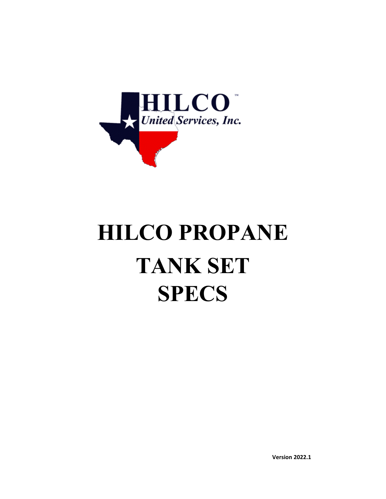

# **HILCO PROPANE TANK SET SPECS**

**Version 2022.1**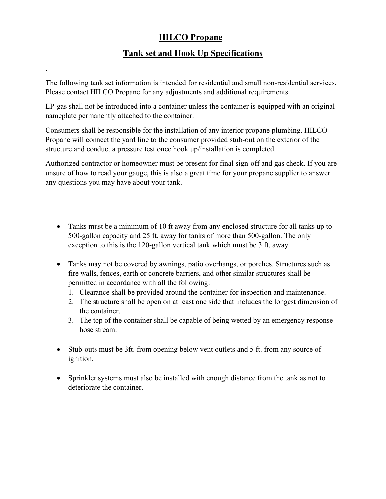### **HILCO Propane**

### **Tank set and Hook Up Specifications**

The following tank set information is intended for residential and small non-residential services. Please contact HILCO Propane for any adjustments and additional requirements.

.

LP-gas shall not be introduced into a container unless the container is equipped with an original nameplate permanently attached to the container.

Consumers shall be responsible for the installation of any interior propane plumbing. HILCO Propane will connect the yard line to the consumer provided stub-out on the exterior of the structure and conduct a pressure test once hook up/installation is completed.

Authorized contractor or homeowner must be present for final sign-off and gas check. If you are unsure of how to read your gauge, this is also a great time for your propane supplier to answer any questions you may have about your tank.

- Tanks must be a minimum of 10 ft away from any enclosed structure for all tanks up to 500-gallon capacity and 25 ft. away for tanks of more than 500-gallon. The only exception to this is the 120-gallon vertical tank which must be 3 ft. away.
- Tanks may not be covered by awnings, patio overhangs, or porches. Structures such as fire walls, fences, earth or concrete barriers, and other similar structures shall be permitted in accordance with all the following:
	- 1. Clearance shall be provided around the container for inspection and maintenance.
	- 2. The structure shall be open on at least one side that includes the longest dimension of the container.
	- 3. The top of the container shall be capable of being wetted by an emergency response hose stream.
- Stub-outs must be 3ft. from opening below vent outlets and 5 ft. from any source of ignition.
- Sprinkler systems must also be installed with enough distance from the tank as not to deteriorate the container.